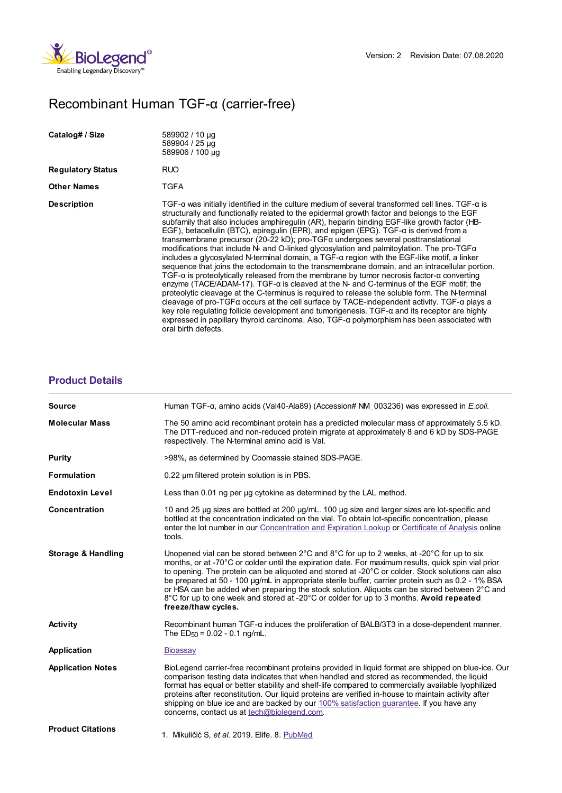

## Recombinant Human TGF-α (carrier-free)

| Catalog# / Size          | 589902 / 10 µg<br>589904 / 25 µg<br>589906 / 100 µg                                                                                                                                                                                                                                                                                                                                                                                                                                                                                                                                                                                                                                                                                                                                                                                                                                                                                                                                                                                                                                                                                                                                                                                                                                                                                                                                                                                                                                   |
|--------------------------|---------------------------------------------------------------------------------------------------------------------------------------------------------------------------------------------------------------------------------------------------------------------------------------------------------------------------------------------------------------------------------------------------------------------------------------------------------------------------------------------------------------------------------------------------------------------------------------------------------------------------------------------------------------------------------------------------------------------------------------------------------------------------------------------------------------------------------------------------------------------------------------------------------------------------------------------------------------------------------------------------------------------------------------------------------------------------------------------------------------------------------------------------------------------------------------------------------------------------------------------------------------------------------------------------------------------------------------------------------------------------------------------------------------------------------------------------------------------------------------|
| <b>Regulatory Status</b> | RUO                                                                                                                                                                                                                                                                                                                                                                                                                                                                                                                                                                                                                                                                                                                                                                                                                                                                                                                                                                                                                                                                                                                                                                                                                                                                                                                                                                                                                                                                                   |
| <b>Other Names</b>       | TGFA                                                                                                                                                                                                                                                                                                                                                                                                                                                                                                                                                                                                                                                                                                                                                                                                                                                                                                                                                                                                                                                                                                                                                                                                                                                                                                                                                                                                                                                                                  |
| <b>Description</b>       | TGF- $\alpha$ was initially identified in the culture medium of several transformed cell lines. TGF- $\alpha$ is<br>structurally and functionally related to the epidermal growth factor and belongs to the EGF<br>subfamily that also includes amphiregulin (AR), heparin binding EGF-like growth factor (HB-<br>EGF), betacellulin (BTC), epirequlin (EPR), and epigen (EPG). TGF- $\alpha$ is derived from a<br>transmembrane precursor (20-22 kD); pro-TGF $\alpha$ undergoes several posttranslational<br>modifications that include N- and O-linked glycosylation and palmitoylation. The pro-TGF $\alpha$<br>includes a glycosylated N-terminal domain, a $TGF-\alpha$ region with the EGF-like motif, a linker<br>sequence that joins the ectodomain to the transmembrane domain, and an intracellular portion.<br>TGF- $\alpha$ is proteolytically released from the membrane by tumor necrosis factor- $\alpha$ converting<br>enzyme (TACE/ADAM-17). TGF- $\alpha$ is cleaved at the N- and C-terminus of the EGF motif; the<br>proteolytic cleavage at the C-terminus is required to release the soluble form. The N-terminal<br>cleavage of pro-TGF $\alpha$ occurs at the cell surface by TACE-independent activity. TGF- $\alpha$ plays a<br>key role regulating follicle development and tumorigenesis. TGF-a and its receptor are highly<br>expressed in papillary thyroid carcinoma. Also, $TGF-\alpha$ polymorphism has been associated with<br>oral birth defects. |

## **[Product](https://production-dynamicweb.biolegend.com/de-de/products/recombinant-human-tgf-alpha-carrier-free-8691?pdf=true&displayInline=true&leftRightMargin=15&topBottomMargin=15&filename=Recombinant Human TGF-%EF%BF%BD%EF%BF%BD (carrier-free).pdf#productDetails) Details**

| <b>Source</b>                 | Human TGF-α, amino acids (Val40-Ala89) (Accession# NM 003236) was expressed in E.coli.                                                                                                                                                                                                                                                                                                                                                                                                                                                                                                                                                                      |
|-------------------------------|-------------------------------------------------------------------------------------------------------------------------------------------------------------------------------------------------------------------------------------------------------------------------------------------------------------------------------------------------------------------------------------------------------------------------------------------------------------------------------------------------------------------------------------------------------------------------------------------------------------------------------------------------------------|
| <b>Molecular Mass</b>         | The 50 amino acid recombinant protein has a predicted molecular mass of approximately 5.5 kD.<br>The DTT-reduced and non-reduced protein migrate at approximately 8 and 6 kD by SDS-PAGE<br>respectively. The N-terminal amino acid is Val.                                                                                                                                                                                                                                                                                                                                                                                                                 |
| Purity                        | >98%, as determined by Coomassie stained SDS-PAGE.                                                                                                                                                                                                                                                                                                                                                                                                                                                                                                                                                                                                          |
| <b>Formulation</b>            | 0.22 um filtered protein solution is in PBS.                                                                                                                                                                                                                                                                                                                                                                                                                                                                                                                                                                                                                |
| <b>Endotoxin Level</b>        | Less than 0.01 ng per ug cytokine as determined by the LAL method.                                                                                                                                                                                                                                                                                                                                                                                                                                                                                                                                                                                          |
| <b>Concentration</b>          | 10 and 25 µg sizes are bottled at 200 µg/mL. 100 µg size and larger sizes are lot-specific and<br>bottled at the concentration indicated on the vial. To obtain lot-specific concentration, please<br>enter the lot number in our Concentration and Expiration Lookup or Certificate of Analysis online<br>tools.                                                                                                                                                                                                                                                                                                                                           |
| <b>Storage &amp; Handling</b> | Unopened vial can be stored between $2^{\circ}$ C and $8^{\circ}$ C for up to 2 weeks, at -20 $^{\circ}$ C for up to six<br>months, or at -70°C or colder until the expiration date. For maximum results, quick spin vial prior<br>to opening. The protein can be aliquoted and stored at -20°C or colder. Stock solutions can also<br>be prepared at 50 - 100 µg/mL in appropriate sterile buffer, carrier protein such as 0.2 - 1% BSA<br>or HSA can be added when preparing the stock solution. Aliquots can be stored between 2°C and<br>8°C for up to one week and stored at -20°C or colder for up to 3 months. Avoid repeated<br>freeze/thaw cycles. |
| <b>Activity</b>               | Recombinant human TGF-a induces the proliferation of BALB/3T3 in a dose-dependent manner.<br>The $ED_{50} = 0.02 - 0.1$ ng/mL.                                                                                                                                                                                                                                                                                                                                                                                                                                                                                                                              |
| <b>Application</b>            | Bioassay                                                                                                                                                                                                                                                                                                                                                                                                                                                                                                                                                                                                                                                    |
| <b>Application Notes</b>      | BioLegend carrier-free recombinant proteins provided in liquid format are shipped on blue-ice. Our<br>comparison testing data indicates that when handled and stored as recommended, the liquid<br>format has equal or better stability and shelf-life compared to commercially available lyophilized<br>proteins after reconstitution. Our liquid proteins are verified in-house to maintain activity after<br>shipping on blue ice and are backed by our 100% satisfaction quarantee. If you have any<br>concerns, contact us at tech@biolegend.com.                                                                                                      |
| <b>Product Citations</b>      | 1. Mikuličić S, et al. 2019. Elife. 8. PubMed                                                                                                                                                                                                                                                                                                                                                                                                                                                                                                                                                                                                               |